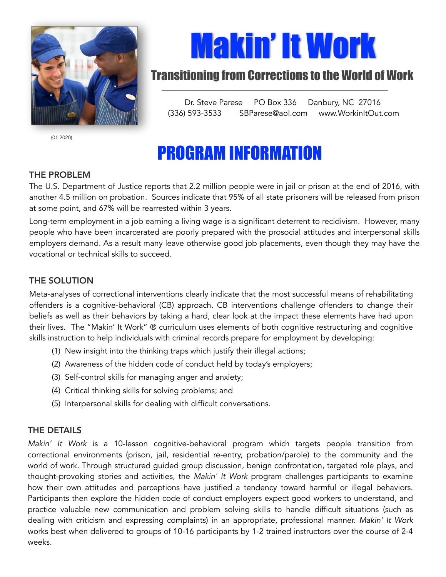

(01.2020)

# Makin' It Work

### Transitioning from Corrections to the World of Work

Dr. Steve Parese PO Box 336 Danbury, NC 27016 (336) 593-3533 SBParese@aol.com www.WorkinItOut.com

## PROGRAM INFORMATION

#### THE PROBLEM

The U.S. Department of Justice reports that 2.2 million people were in jail or prison at the end of 2016, with another 4.5 million on probation. Sources indicate that 95% of all state prisoners will be released from prison at some point, and 67% will be rearrested within 3 years.

Long-term employment in a job earning a living wage is a significant deterrent to recidivism. However, many people who have been incarcerated are poorly prepared with the prosocial attitudes and interpersonal skills employers demand. As a result many leave otherwise good job placements, even though they may have the vocational or technical skills to succeed.

#### THE SOLUTION

Meta-analyses of correctional interventions clearly indicate that the most successful means of rehabilitating offenders is a cognitive-behavioral (CB) approach. CB interventions challenge offenders to change their beliefs as well as their behaviors by taking a hard, clear look at the impact these elements have had upon their lives. The "Makin' It Work" ® curriculum uses elements of both cognitive restructuring and cognitive skills instruction to help individuals with criminal records prepare for employment by developing:

- (1) New insight into the thinking traps which justify their illegal actions;
- (2) Awareness of the hidden code of conduct held by today's employers;
- (3) Self-control skills for managing anger and anxiety;
- (4) Critical thinking skills for solving problems; and
- (5) Interpersonal skills for dealing with difficult conversations.

#### THE DETAILS

*Makin' It Work* is a 10-lesson cognitive-behavioral program which targets people transition from correctional environments (prison, jail, residential re-entry, probation/parole) to the community and the world of work. Through structured guided group discussion, benign confrontation, targeted role plays, and thought-provoking stories and activities, the *Makin' It Work* program challenges participants to examine how their own attitudes and perceptions have justified a tendency toward harmful or illegal behaviors. Participants then explore the hidden code of conduct employers expect good workers to understand, and practice valuable new communication and problem solving skills to handle difficult situations (such as dealing with criticism and expressing complaints) in an appropriate, professional manner. *Makin' It Work* works best when delivered to groups of 10-16 participants by 1-2 trained instructors over the course of 2-4 weeks.